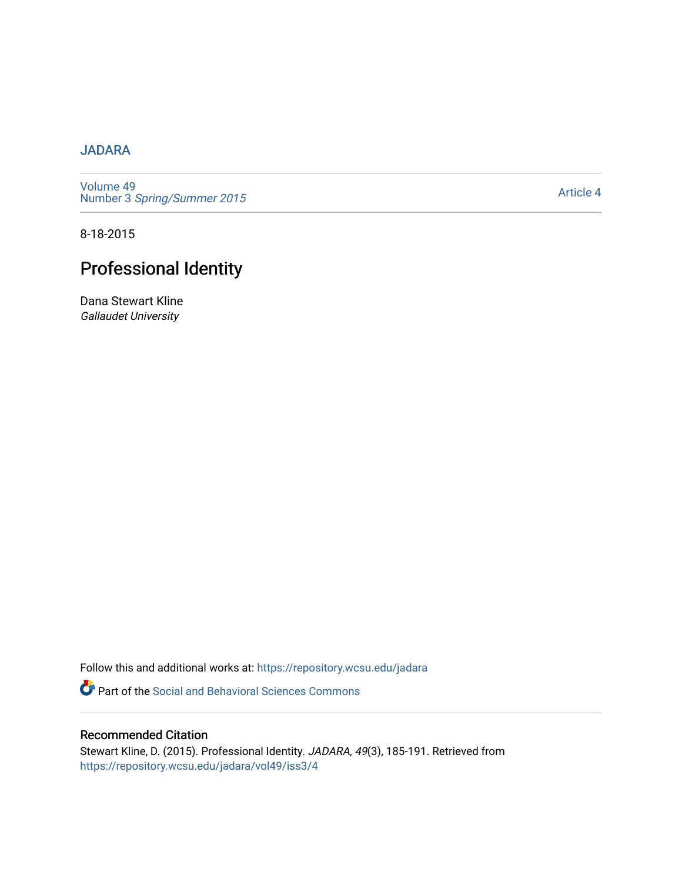## [JADARA](https://repository.wcsu.edu/jadara)

[Volume 49](https://repository.wcsu.edu/jadara/vol49)  Number 3 [Spring/Summer 2015](https://repository.wcsu.edu/jadara/vol49/iss3) 

[Article 4](https://repository.wcsu.edu/jadara/vol49/iss3/4) 

8-18-2015

# Professional Identity

Dana Stewart Kline Gallaudet University

Follow this and additional works at: [https://repository.wcsu.edu/jadara](https://repository.wcsu.edu/jadara?utm_source=repository.wcsu.edu%2Fjadara%2Fvol49%2Fiss3%2F4&utm_medium=PDF&utm_campaign=PDFCoverPages)

**P** Part of the Social and Behavioral Sciences Commons

## Recommended Citation

Stewart Kline, D. (2015). Professional Identity. JADARA, 49(3), 185-191. Retrieved from [https://repository.wcsu.edu/jadara/vol49/iss3/4](https://repository.wcsu.edu/jadara/vol49/iss3/4?utm_source=repository.wcsu.edu%2Fjadara%2Fvol49%2Fiss3%2F4&utm_medium=PDF&utm_campaign=PDFCoverPages)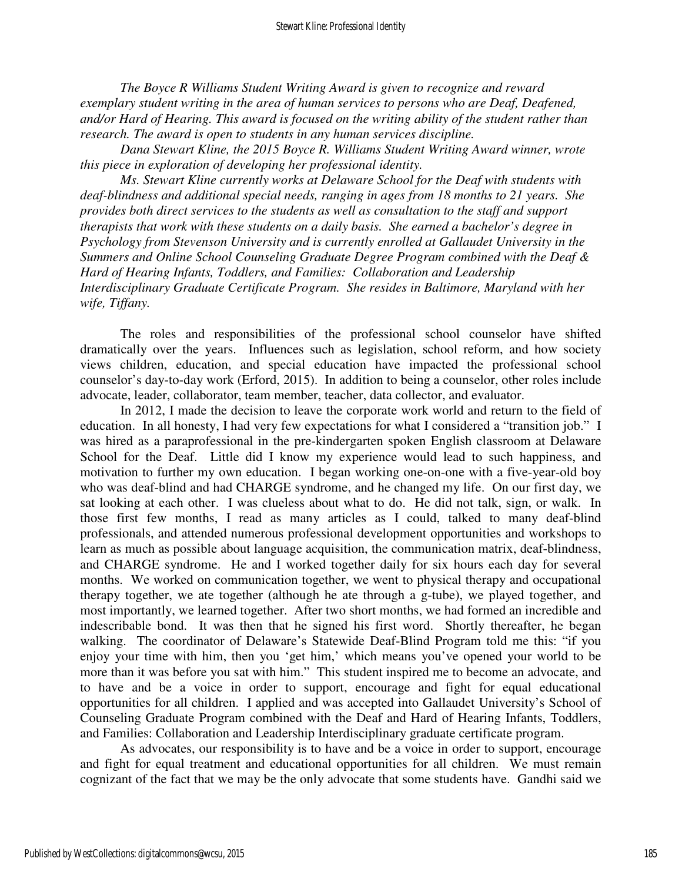*The Boyce R Williams Student Writing Award is given to recognize and reward exemplary student writing in the area of human services to persons who are Deaf, Deafened, and/or Hard of Hearing. This award is focused on the writing ability of the student rather than research. The award is open to students in any human services discipline.* 

*Dana Stewart Kline, the 2015 Boyce R. Williams Student Writing Award winner, wrote this piece in exploration of developing her professional identity.* 

*Ms. Stewart Kline currently works at Delaware School for the Deaf with students with deaf-blindness and additional special needs, ranging in ages from 18 months to 21 years. She provides both direct services to the students as well as consultation to the staff and support therapists that work with these students on a daily basis. She earned a bachelor's degree in Psychology from Stevenson University and is currently enrolled at Gallaudet University in the Summers and Online School Counseling Graduate Degree Program combined with the Deaf & Hard of Hearing Infants, Toddlers, and Families: Collaboration and Leadership Interdisciplinary Graduate Certificate Program. She resides in Baltimore, Maryland with her wife, Tiffany.* 

The roles and responsibilities of the professional school counselor have shifted dramatically over the years. Influences such as legislation, school reform, and how society views children, education, and special education have impacted the professional school counselor's day-to-day work (Erford, 2015). In addition to being a counselor, other roles include advocate, leader, collaborator, team member, teacher, data collector, and evaluator.

In 2012, I made the decision to leave the corporate work world and return to the field of education. In all honesty, I had very few expectations for what I considered a "transition job." I was hired as a paraprofessional in the pre-kindergarten spoken English classroom at Delaware School for the Deaf. Little did I know my experience would lead to such happiness, and motivation to further my own education. I began working one-on-one with a five-year-old boy who was deaf-blind and had CHARGE syndrome, and he changed my life. On our first day, we sat looking at each other. I was clueless about what to do. He did not talk, sign, or walk. In those first few months, I read as many articles as I could, talked to many deaf-blind professionals, and attended numerous professional development opportunities and workshops to learn as much as possible about language acquisition, the communication matrix, deaf-blindness, and CHARGE syndrome. He and I worked together daily for six hours each day for several months. We worked on communication together, we went to physical therapy and occupational therapy together, we ate together (although he ate through a g-tube), we played together, and most importantly, we learned together. After two short months, we had formed an incredible and indescribable bond. It was then that he signed his first word. Shortly thereafter, he began walking. The coordinator of Delaware's Statewide Deaf-Blind Program told me this: "if you enjoy your time with him, then you 'get him,' which means you've opened your world to be more than it was before you sat with him." This student inspired me to become an advocate, and to have and be a voice in order to support, encourage and fight for equal educational opportunities for all children. I applied and was accepted into Gallaudet University's School of Counseling Graduate Program combined with the Deaf and Hard of Hearing Infants, Toddlers, and Families: Collaboration and Leadership Interdisciplinary graduate certificate program.

As advocates, our responsibility is to have and be a voice in order to support, encourage and fight for equal treatment and educational opportunities for all children. We must remain cognizant of the fact that we may be the only advocate that some students have. Gandhi said we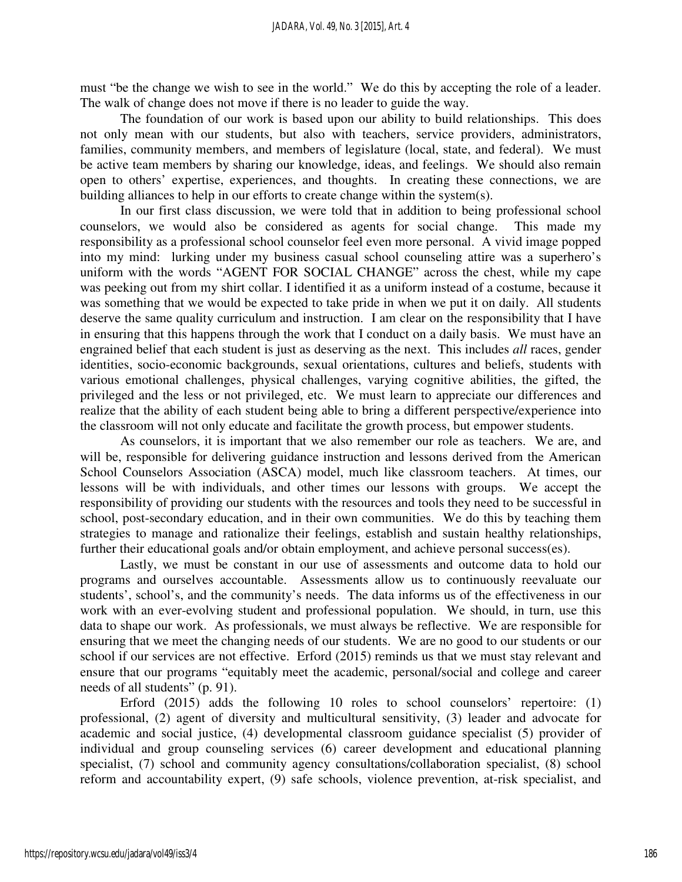must "be the change we wish to see in the world." We do this by accepting the role of a leader. The walk of change does not move if there is no leader to guide the way.

The foundation of our work is based upon our ability to build relationships. This does not only mean with our students, but also with teachers, service providers, administrators, families, community members, and members of legislature (local, state, and federal). We must be active team members by sharing our knowledge, ideas, and feelings. We should also remain open to others' expertise, experiences, and thoughts. In creating these connections, we are building alliances to help in our efforts to create change within the system(s).

In our first class discussion, we were told that in addition to being professional school counselors, we would also be considered as agents for social change. This made my responsibility as a professional school counselor feel even more personal. A vivid image popped into my mind: lurking under my business casual school counseling attire was a superhero's uniform with the words "AGENT FOR SOCIAL CHANGE" across the chest, while my cape was peeking out from my shirt collar. I identified it as a uniform instead of a costume, because it was something that we would be expected to take pride in when we put it on daily. All students deserve the same quality curriculum and instruction. I am clear on the responsibility that I have in ensuring that this happens through the work that I conduct on a daily basis. We must have an engrained belief that each student is just as deserving as the next. This includes *all* races, gender identities, socio-economic backgrounds, sexual orientations, cultures and beliefs, students with various emotional challenges, physical challenges, varying cognitive abilities, the gifted, the privileged and the less or not privileged, etc. We must learn to appreciate our differences and realize that the ability of each student being able to bring a different perspective/experience into the classroom will not only educate and facilitate the growth process, but empower students.

As counselors, it is important that we also remember our role as teachers. We are, and will be, responsible for delivering guidance instruction and lessons derived from the American School Counselors Association (ASCA) model, much like classroom teachers. At times, our lessons will be with individuals, and other times our lessons with groups. We accept the responsibility of providing our students with the resources and tools they need to be successful in school, post-secondary education, and in their own communities. We do this by teaching them strategies to manage and rationalize their feelings, establish and sustain healthy relationships, further their educational goals and/or obtain employment, and achieve personal success(es).

Lastly, we must be constant in our use of assessments and outcome data to hold our programs and ourselves accountable. Assessments allow us to continuously reevaluate our students', school's, and the community's needs. The data informs us of the effectiveness in our work with an ever-evolving student and professional population. We should, in turn, use this data to shape our work. As professionals, we must always be reflective. We are responsible for ensuring that we meet the changing needs of our students. We are no good to our students or our school if our services are not effective. Erford (2015) reminds us that we must stay relevant and ensure that our programs "equitably meet the academic, personal/social and college and career needs of all students" (p. 91).

Erford (2015) adds the following 10 roles to school counselors' repertoire: (1) professional, (2) agent of diversity and multicultural sensitivity, (3) leader and advocate for academic and social justice, (4) developmental classroom guidance specialist (5) provider of individual and group counseling services (6) career development and educational planning specialist, (7) school and community agency consultations/collaboration specialist, (8) school reform and accountability expert, (9) safe schools, violence prevention, at-risk specialist, and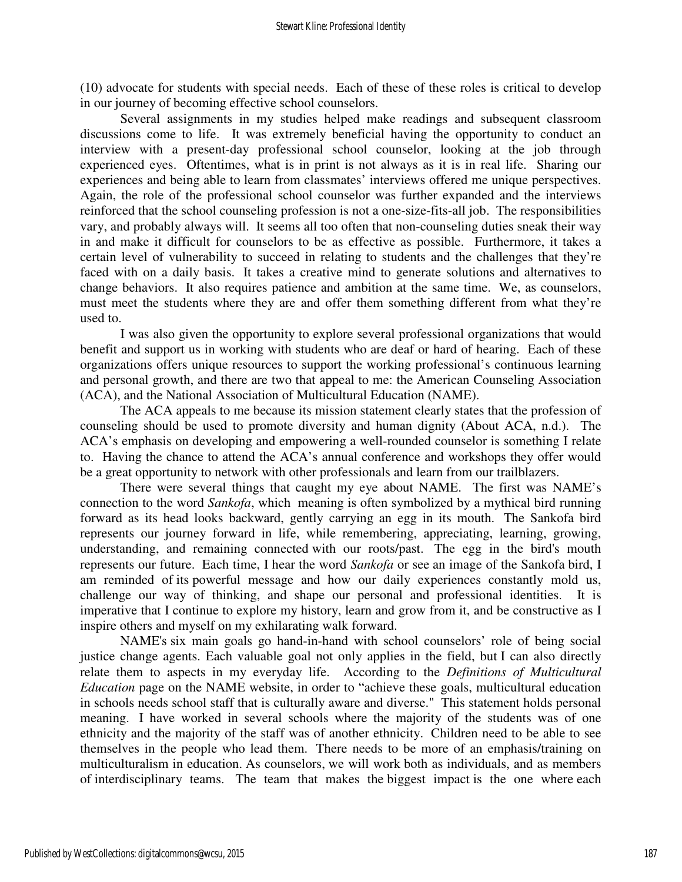(10) advocate for students with special needs. Each of these of these roles is critical to develop in our journey of becoming effective school counselors.

Several assignments in my studies helped make readings and subsequent classroom discussions come to life. It was extremely beneficial having the opportunity to conduct an interview with a present-day professional school counselor, looking at the job through experienced eyes. Oftentimes, what is in print is not always as it is in real life. Sharing our experiences and being able to learn from classmates' interviews offered me unique perspectives. Again, the role of the professional school counselor was further expanded and the interviews reinforced that the school counseling profession is not a one-size-fits-all job. The responsibilities vary, and probably always will. It seems all too often that non-counseling duties sneak their way in and make it difficult for counselors to be as effective as possible. Furthermore, it takes a certain level of vulnerability to succeed in relating to students and the challenges that they're faced with on a daily basis. It takes a creative mind to generate solutions and alternatives to change behaviors. It also requires patience and ambition at the same time. We, as counselors, must meet the students where they are and offer them something different from what they're used to.

 I was also given the opportunity to explore several professional organizations that would benefit and support us in working with students who are deaf or hard of hearing. Each of these organizations offers unique resources to support the working professional's continuous learning and personal growth, and there are two that appeal to me: the American Counseling Association (ACA), and the National Association of Multicultural Education (NAME).

 The ACA appeals to me because its mission statement clearly states that the profession of counseling should be used to promote diversity and human dignity (About ACA, n.d.). The ACA's emphasis on developing and empowering a well-rounded counselor is something I relate to. Having the chance to attend the ACA's annual conference and workshops they offer would be a great opportunity to network with other professionals and learn from our trailblazers.

There were several things that caught my eye about NAME. The first was NAME's connection to the word *Sankofa*, which meaning is often symbolized by a mythical bird running forward as its head looks backward, gently carrying an egg in its mouth. The Sankofa bird represents our journey forward in life, while remembering, appreciating, learning, growing, understanding, and remaining connected with our roots/past. The egg in the bird's mouth represents our future. Each time, I hear the word *Sankofa* or see an image of the Sankofa bird, I am reminded of its powerful message and how our daily experiences constantly mold us, challenge our way of thinking, and shape our personal and professional identities. It is imperative that I continue to explore my history, learn and grow from it, and be constructive as I inspire others and myself on my exhilarating walk forward.

NAME's six main goals go hand-in-hand with school counselors' role of being social justice change agents. Each valuable goal not only applies in the field, but I can also directly relate them to aspects in my everyday life. According to the *Definitions of Multicultural Education* page on the NAME website, in order to "achieve these goals, multicultural education in schools needs school staff that is culturally aware and diverse." This statement holds personal meaning. I have worked in several schools where the majority of the students was of one ethnicity and the majority of the staff was of another ethnicity. Children need to be able to see themselves in the people who lead them. There needs to be more of an emphasis/training on multiculturalism in education. As counselors, we will work both as individuals, and as members of interdisciplinary teams. The team that makes the biggest impact is the one where each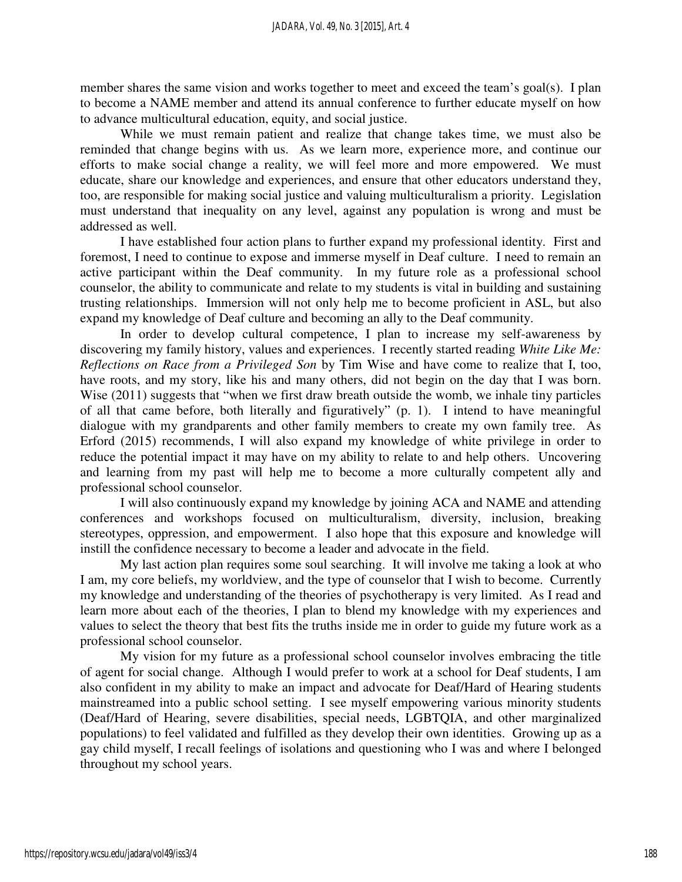member shares the same vision and works together to meet and exceed the team's goal(s). I plan to become a NAME member and attend its annual conference to further educate myself on how to advance multicultural education, equity, and social justice.

While we must remain patient and realize that change takes time, we must also be reminded that change begins with us. As we learn more, experience more, and continue our efforts to make social change a reality, we will feel more and more empowered. We must educate, share our knowledge and experiences, and ensure that other educators understand they, too, are responsible for making social justice and valuing multiculturalism a priority. Legislation must understand that inequality on any level, against any population is wrong and must be addressed as well.

I have established four action plans to further expand my professional identity. First and foremost, I need to continue to expose and immerse myself in Deaf culture. I need to remain an active participant within the Deaf community. In my future role as a professional school counselor, the ability to communicate and relate to my students is vital in building and sustaining trusting relationships. Immersion will not only help me to become proficient in ASL, but also expand my knowledge of Deaf culture and becoming an ally to the Deaf community.

In order to develop cultural competence, I plan to increase my self-awareness by discovering my family history, values and experiences. I recently started reading *White Like Me: Reflections on Race from a Privileged Son* by Tim Wise and have come to realize that I, too, have roots, and my story, like his and many others, did not begin on the day that I was born. Wise (2011) suggests that "when we first draw breath outside the womb, we inhale tiny particles of all that came before, both literally and figuratively" (p. 1). I intend to have meaningful dialogue with my grandparents and other family members to create my own family tree. As Erford (2015) recommends, I will also expand my knowledge of white privilege in order to reduce the potential impact it may have on my ability to relate to and help others. Uncovering and learning from my past will help me to become a more culturally competent ally and professional school counselor.

I will also continuously expand my knowledge by joining ACA and NAME and attending conferences and workshops focused on multiculturalism, diversity, inclusion, breaking stereotypes, oppression, and empowerment. I also hope that this exposure and knowledge will instill the confidence necessary to become a leader and advocate in the field.

My last action plan requires some soul searching. It will involve me taking a look at who I am, my core beliefs, my worldview, and the type of counselor that I wish to become. Currently my knowledge and understanding of the theories of psychotherapy is very limited. As I read and learn more about each of the theories, I plan to blend my knowledge with my experiences and values to select the theory that best fits the truths inside me in order to guide my future work as a professional school counselor.

My vision for my future as a professional school counselor involves embracing the title of agent for social change. Although I would prefer to work at a school for Deaf students, I am also confident in my ability to make an impact and advocate for Deaf/Hard of Hearing students mainstreamed into a public school setting. I see myself empowering various minority students (Deaf/Hard of Hearing, severe disabilities, special needs, LGBTQIA, and other marginalized populations) to feel validated and fulfilled as they develop their own identities. Growing up as a gay child myself, I recall feelings of isolations and questioning who I was and where I belonged throughout my school years.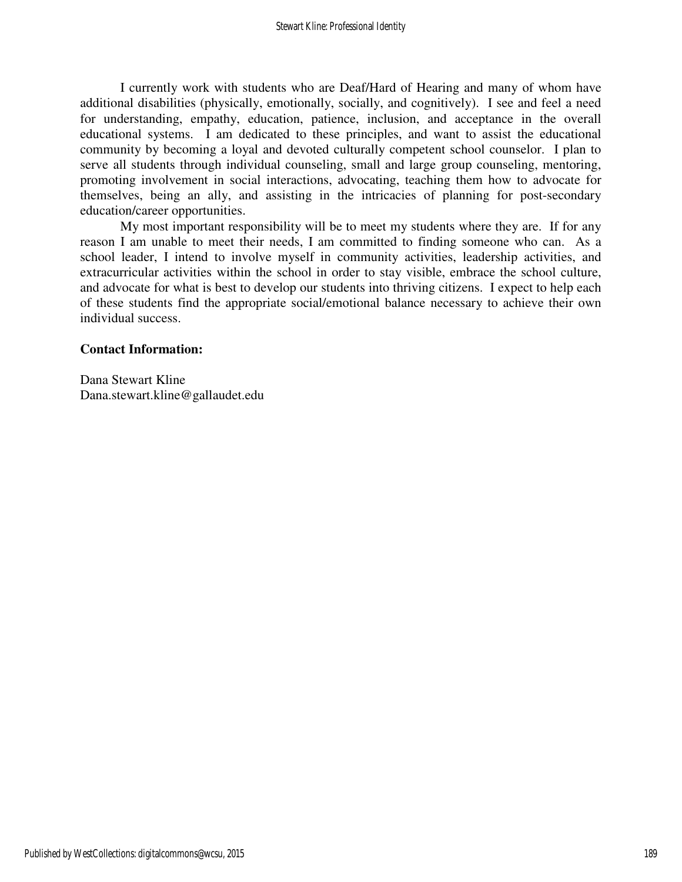I currently work with students who are Deaf/Hard of Hearing and many of whom have additional disabilities (physically, emotionally, socially, and cognitively). I see and feel a need for understanding, empathy, education, patience, inclusion, and acceptance in the overall educational systems. I am dedicated to these principles, and want to assist the educational community by becoming a loyal and devoted culturally competent school counselor. I plan to serve all students through individual counseling, small and large group counseling, mentoring, promoting involvement in social interactions, advocating, teaching them how to advocate for themselves, being an ally, and assisting in the intricacies of planning for post-secondary education/career opportunities.

My most important responsibility will be to meet my students where they are. If for any reason I am unable to meet their needs, I am committed to finding someone who can. As a school leader, I intend to involve myself in community activities, leadership activities, and extracurricular activities within the school in order to stay visible, embrace the school culture, and advocate for what is best to develop our students into thriving citizens. I expect to help each of these students find the appropriate social/emotional balance necessary to achieve their own individual success.

### **Contact Information:**

Dana Stewart Kline Dana.stewart.kline@gallaudet.edu